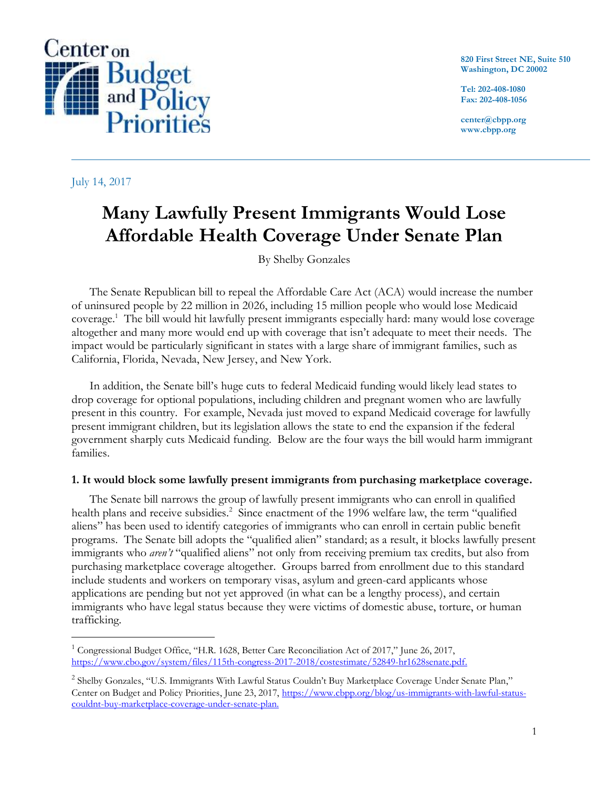

July 14, 2017

 $\overline{a}$ 

**820 First Street NE, Suite 510 Washington, DC 20002**

**Tel: 202-408-1080 Fax: 202-408-1056**

**center@cbpp.org www.cbpp.org**

# **Many Lawfully Present Immigrants Would Lose Affordable Health Coverage Under Senate Plan**

By Shelby Gonzales

The Senate Republican bill to repeal the Affordable Care Act (ACA) would increase the number of uninsured people by 22 million in 2026, including 15 million people who would lose Medicaid coverage. 1 The bill would hit lawfully present immigrants especially hard: many would lose coverage altogether and many more would end up with coverage that isn't adequate to meet their needs. The impact would be particularly significant in states with a large share of immigrant families, such as California, Florida, Nevada, New Jersey, and New York.

In addition, the Senate bill's huge cuts to federal Medicaid funding would likely lead states to drop coverage for optional populations, including children and pregnant women who are lawfully present in this country. For example, Nevada just moved to expand Medicaid coverage for lawfully present immigrant children, but its legislation allows the state to end the expansion if the federal government sharply cuts Medicaid funding. Below are the four ways the bill would harm immigrant families.

### **1. It would block some lawfully present immigrants from purchasing marketplace coverage.**

The Senate bill narrows the group of lawfully present immigrants who can enroll in qualified health plans and receive subsidies.<sup>2</sup> Since enactment of the 1996 welfare law, the term "qualified aliens" has been used to identify categories of immigrants who can enroll in certain public benefit programs. The Senate bill adopts the "qualified alien" standard; as a result, it blocks lawfully present immigrants who *aren't* "qualified aliens" not only from receiving premium tax credits, but also from purchasing marketplace coverage altogether. Groups barred from enrollment due to this standard include students and workers on temporary visas, asylum and green-card applicants whose applications are pending but not yet approved (in what can be a lengthy process), and certain immigrants who have legal status because they were victims of domestic abuse, torture, or human trafficking.

<sup>&</sup>lt;sup>1</sup> Congressional Budget Office, "H.R. 1628, Better Care Reconciliation Act of 2017," June 26, 2017, [https://www.cbo.gov/system/files/115th-congress-2017-2018/costestimate/52849-hr1628senate.pdf.](https://www.cbo.gov/system/files/115th-congress-2017-2018/costestimate/52849-hr1628senate.pdf)

<sup>&</sup>lt;sup>2</sup> Shelby Gonzales, "U.S. Immigrants With Lawful Status Couldn't Buy Marketplace Coverage Under Senate Plan," Center on Budget and Policy Priorities, June 23, 2017, [https://www.cbpp.org/blog/us-immigrants-with-lawful-status](https://www.cbpp.org/blog/us-immigrants-with-lawful-status-couldnt-buy-marketplace-coverage-under-senate-plan)[couldnt-buy-marketplace-coverage-under-senate-plan.](https://www.cbpp.org/blog/us-immigrants-with-lawful-status-couldnt-buy-marketplace-coverage-under-senate-plan)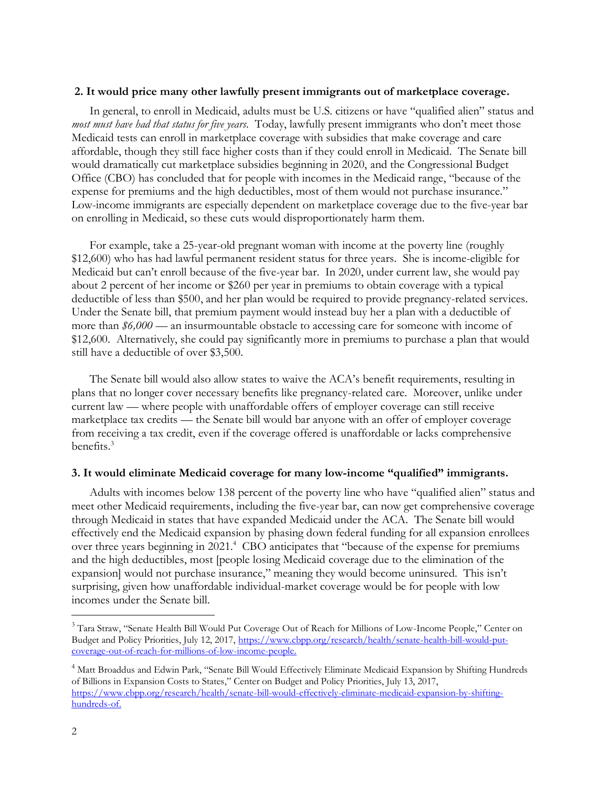#### **2. It would price many other lawfully present immigrants out of marketplace coverage.**

In general, to enroll in Medicaid, adults must be U.S. citizens or have "qualified alien" status and *most must have had that status for five years*. Today, lawfully present immigrants who don't meet those Medicaid tests can enroll in marketplace coverage with subsidies that make coverage and care affordable, though they still face higher costs than if they could enroll in Medicaid. The Senate bill would dramatically cut marketplace subsidies beginning in 2020, and the Congressional Budget Office (CBO) has concluded that for people with incomes in the Medicaid range, "because of the expense for premiums and the high deductibles, most of them would not purchase insurance." Low-income immigrants are especially dependent on marketplace coverage due to the five-year bar on enrolling in Medicaid, so these cuts would disproportionately harm them.

For example, take a 25-year-old pregnant woman with income at the poverty line (roughly \$12,600) who has had lawful permanent resident status for three years. She is income-eligible for Medicaid but can't enroll because of the five-year bar. In 2020, under current law, she would pay about 2 percent of her income or \$260 per year in premiums to obtain coverage with a typical deductible of less than \$500, and her plan would be required to provide pregnancy-related services. Under the Senate bill, that premium payment would instead buy her a plan with a deductible of more than *\$6,000* — an insurmountable obstacle to accessing care for someone with income of \$12,600. Alternatively, she could pay significantly more in premiums to purchase a plan that would still have a deductible of over \$3,500.

The Senate bill would also allow states to waive the ACA's benefit requirements, resulting in plans that no longer cover necessary benefits like pregnancy-related care. Moreover, unlike under current law — where people with unaffordable offers of employer coverage can still receive marketplace tax credits — the Senate bill would bar anyone with an offer of employer coverage from receiving a tax credit, even if the coverage offered is unaffordable or lacks comprehensive benefits.<sup>3</sup>

#### **3. It would eliminate Medicaid coverage for many low-income "qualified" immigrants.**

Adults with incomes below 138 percent of the poverty line who have "qualified alien" status and meet other Medicaid requirements, including the five-year bar, can now get comprehensive coverage through Medicaid in states that have expanded Medicaid under the ACA. The Senate bill would effectively end the Medicaid expansion by phasing down federal funding for all expansion enrollees over three years beginning in 2021.<sup>4</sup> CBO anticipates that "because of the expense for premiums and the high deductibles, most [people losing Medicaid coverage due to the elimination of the expansion] would not purchase insurance," meaning they would become uninsured. This isn't surprising, given how unaffordable individual-market coverage would be for people with low incomes under the Senate bill.

 $\overline{a}$ 

<sup>&</sup>lt;sup>3</sup> Tara Straw, "Senate Health Bill Would Put Coverage Out of Reach for Millions of Low-Income People," Center on Budget and Policy Priorities, July 12, 2017, [https://www.cbpp.org/research/health/senate-health-bill-would-put](https://www.cbpp.org/research/health/senate-health-bill-would-put-coverage-out-of-reach-for-millions-of-low-income-people)[coverage-out-of-reach-for-millions-of-low-income-people.](https://www.cbpp.org/research/health/senate-health-bill-would-put-coverage-out-of-reach-for-millions-of-low-income-people)

<sup>&</sup>lt;sup>4</sup> Matt Broaddus and Edwin Park, "Senate Bill Would Effectively Eliminate Medicaid Expansion by Shifting Hundreds of Billions in Expansion Costs to States," Center on Budget and Policy Priorities, July 13, 2017, [https://www.cbpp.org/research/health/senate-bill-would-effectively-eliminate-medicaid-expansion-by-shifting](https://www.cbpp.org/research/health/senate-bill-would-effectively-eliminate-medicaid-expansion-by-shifting-hundreds-of)[hundreds-of.](https://www.cbpp.org/research/health/senate-bill-would-effectively-eliminate-medicaid-expansion-by-shifting-hundreds-of)